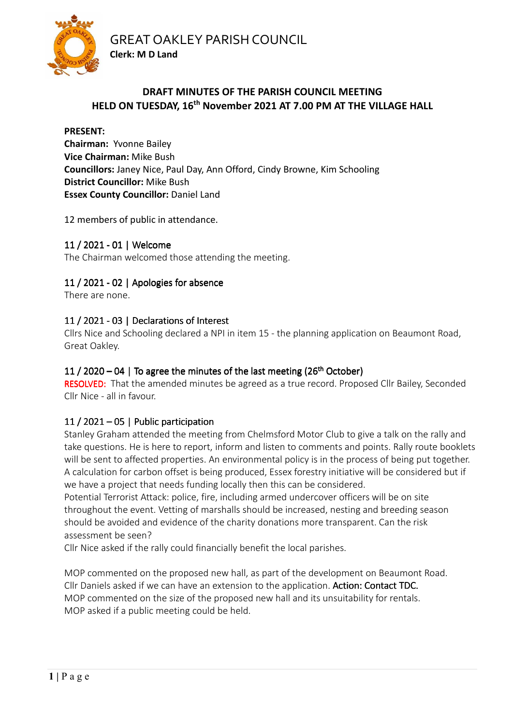GREAT OAKLEY PARISH COUNCIL



# **DRAFT MINUTES OF THE PARISH COUNCIL MEETING HELD ON TUESDAY, 16th November 2021 AT 7.00 PM AT THE VILLAGE HALL**

#### **PRESENT:**

**Chairman:** Yvonne Bailey **Vice Chairman:** Mike Bush **Councillors:** Janey Nice, Paul Day, Ann Offord, Cindy Browne, Kim Schooling **District Councillor:** Mike Bush **Essex County Councillor: Daniel Land** 

12 members of public in attendance.

**Clerk: M D Land** 

# 11 / 2021 - 01 | Welcome

The Chairman welcomed those attending the meeting.

# 11 / 2021 - 02 | Apologies for absence

There are none.

# 11 / 2021 - 03 | Declarations of Interest

Cllrs Nice and Schooling declared a NPI in item 15 - the planning application on Beaumont Road, Great Oakley.

# 11 / 2020 – 04 | To agree the minutes of the last meeting (26<sup>th</sup> October)

RESOLVED: That the amended minutes be agreed as a true record. Proposed Cllr Bailey, Seconded Cllr Nice - all in favour.

# 11 / 2021 – 05 | Public participation

Stanley Graham attended the meeting from Chelmsford Motor Club to give a talk on the rally and take questions. He is here to report, inform and listen to comments and points. Rally route booklets will be sent to affected properties. An environmental policy is in the process of being put together. A calculation for carbon offset is being produced, Essex forestry initiative will be considered but if we have a project that needs funding locally then this can be considered.

Potential Terrorist Attack: police, fire, including armed undercover officers will be on site throughout the event. Vetting of marshalls should be increased, nesting and breeding season should be avoided and evidence of the charity donations more transparent. Can the risk assessment be seen?

Cllr Nice asked if the rally could financially benefit the local parishes.

MOP commented on the proposed new hall, as part of the development on Beaumont Road. Cllr Daniels asked if we can have an extension to the application. Action: Contact TDC. MOP commented on the size of the proposed new hall and its unsuitability for rentals. MOP asked if a public meeting could be held.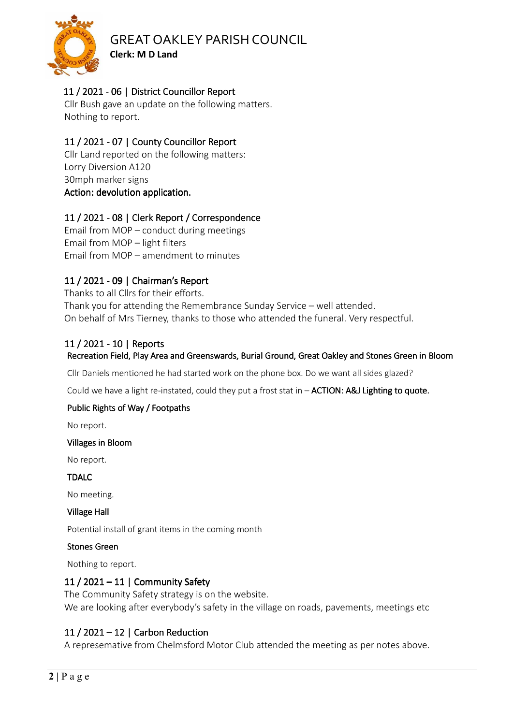

# GREAT OAKLEY PARISH COUNCIL

**Clerk: M D Land** 

# 11 / 2021 - 06 | District Councillor Report

Cllr Bush gave an update on the following matters. Nothing to report.

# 11 / 2021 - 07 | County Councillor Report

Cllr Land reported on the following matters: Lorry Diversion A120 30mph marker signs Action: devolution application.

# 11 / 2021 - 08 | Clerk Report / Correspondence

Email from MOP – conduct during meetings Email from MOP – light filters Email from MOP – amendment to minutes

# 11/ 2021 -09| Chairman's Report | Chairman's Report| Chairman's Report

Thanks to all Cllrs for their efforts. Thank you for attending the Remembrance Sunday Service – well attended. On behalf of Mrs Tierney, thanks to those who attended the funeral. Very respectful.

# 11 / 2021 - 10 | Reports

## Recreation Field, Play Area and Greenswards, Burial Ground, Great Oakley and Stones Green in Bloom

Cllr Daniels mentioned he had started work on the phone box. Do we want all sides glazed?

Could we have a light re-instated, could they put a frost stat in - **ACTION: A&J Lighting to quote.** 

## Public Rights of Way / Footpaths

No report.

#### Villages in Bloom

No report.

TDALC

No meeting.

#### **Village Hall**

Potential install of grant items in the coming month

#### Stones Green

Nothing to report.

## 11 / 2021 – 11 | Community Safety

The Community Safety strategy is on the website. We are looking after everybody's safety in the village on roads, pavements, meetings etc

## 11 / 2021 – 12 | Carbon Reduction

A represemative from Chelmsford Motor Club attended the meeting as per notes above.